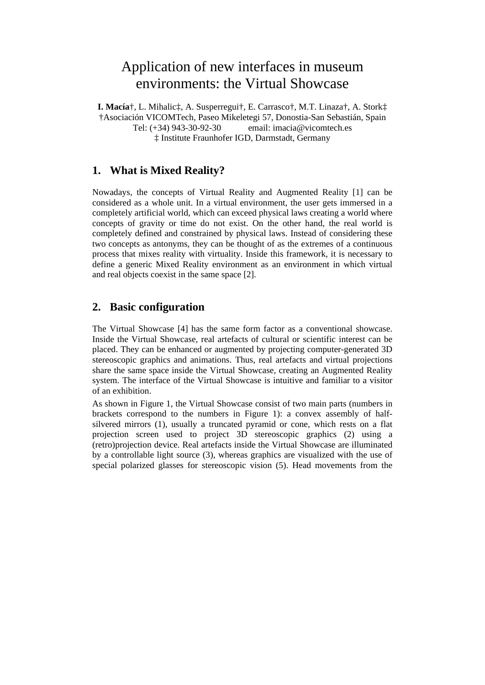# Application of new interfaces in museum environments: the Virtual Showcase

**I. Macía**†, L. Mihalic‡, A. Susperregui†, E. Carrasco†, M.T. Linaza†, A. Stork‡ †Asociación VICOMTech, Paseo Mikeletegi 57, Donostia-San Sebastián, Spain Tel: (+34) 943-30-92-30 email: imacia@vicomtech.es ‡ Institute Fraunhofer IGD, Darmstadt, Germany

# **1. What is Mixed Reality?**

Nowadays, the concepts of Virtual Reality and Augmented Reality [1] can be considered as a whole unit. In a virtual environment, the user gets immersed in a completely artificial world, which can exceed physical laws creating a world where concepts of gravity or time do not exist. On the other hand, the real world is completely defined and constrained by physical laws. Instead of considering these two concepts as antonyms, they can be thought of as the extremes of a continuous process that mixes reality with virtuality. Inside this framework, it is necessary to define a generic Mixed Reality environment as an environment in which virtual and real objects coexist in the same space [2].

# **2. Basic configuration**

The Virtual Showcase [4] has the same form factor as a conventional showcase. Inside the Virtual Showcase, real artefacts of cultural or scientific interest can be placed. They can be enhanced or augmented by projecting computer-generated 3D stereoscopic graphics and animations. Thus, real artefacts and virtual projections share the same space inside the Virtual Showcase, creating an Augmented Reality system. The interface of the Virtual Showcase is intuitive and familiar to a visitor of an exhibition.

As shown in Figure 1, the Virtual Showcase consist of two main parts (numbers in brackets correspond to the numbers in Figure 1): a convex assembly of half silvered mirrors (1), usually a truncated pyramid or cone, which rests on a flat projection screen used to project 3D stereoscopic graphics (2) using a (retro)projection device. Real artefacts inside the Virtual Showcase are illuminated by a controllable light source (3), whereas graphics are visualized with the use of special polarized glasses for stereoscopic vision (5). Head movements from the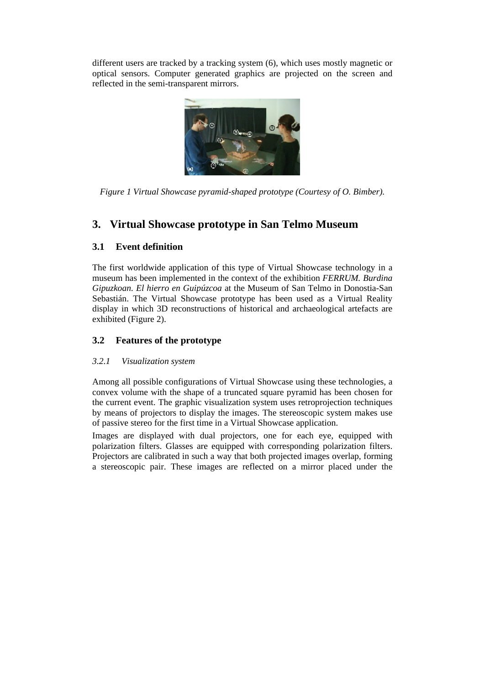different users are tracked by a tracking system (6), which uses mostly magnetic or optical sensors. Computer generated graphics are projected on the screen and reflected in the semi-transparent mirrors.



*Figure 1 Virtual Showcase pyramid-shaped prototype (Courtesy of O. Bimber).*

# **3. Virtual Showcase prototype in San Telmo Museum**

# **3.1 Event definition**

The first worldwide application of this type of Virtual Showcase technology in a museum has been implemented in the context of the exhibition *FERRUM. Burdina Gipuzkoan. El hierro en Guipúzcoa* at the Museum of San Telmo in Donostia-San Sebastián. The Virtual Showcase prototype has been used as a Virtual Reality display in which 3D reconstructions of historical and archaeological artefacts are exhibited (Figure 2).

# **3.2 Features of the prototype**

#### *3.2.1 Visualization system*

Among all possible configurations of Virtual Showcase using these technologies, a convex volume with the shape of a truncated square pyramid has been chosen for the current event. The graphic visualization system uses retroprojection techniques by means of projectors to display the images. The stereoscopic system makes use of passive stereo for the first time in a Virtual Showcase application.

Images are displayed with dual projectors, one for each eye, equipped with polarization filters. Glasses are equipped with corresponding polarization filters. Projectors are calibrated in such a way that both projected images overlap, forming a stereoscopic pair. These images are reflected on a mirror placed under the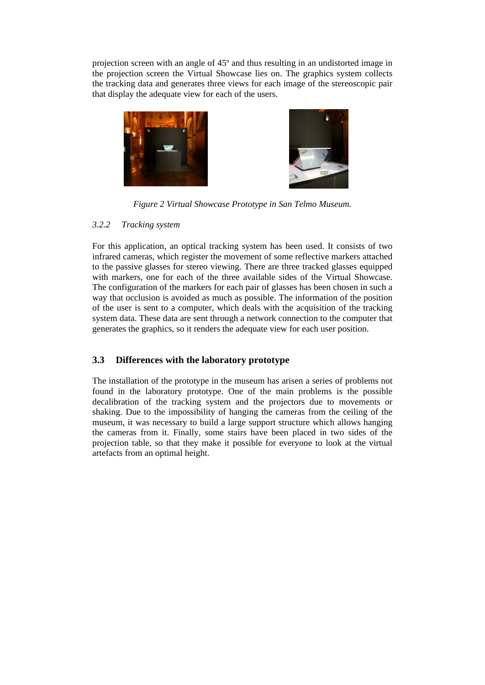projection screen with an angle of 45º and thus resulting in an undistorted image in the projection screen the Virtual Showcase lies on. The graphics system collects the tracking data and generates three views for each image of the stereoscopic pair that display the adequate view for each of the users.





*Figure 2 Virtual Showcase Prototype in San Telmo Museum.*

#### *3.2.2 Tracking system*

For this application, an optical tracking system has been used. It consists of two infrared cameras, which register the movement of some reflective markers attached to the passive glasses for stereo viewing. There are three tracked glasses equipped with markers, one for each of the three available sides of the Virtual Showcase. The configuration of the markers for each pair of glasses has been chosen in such a way that occlusion is avoided as much as possible. The information of the position of the user is sent to a computer, which deals with the acquisition of the tracking system data. These data are sent through a network connection to the computer that generates the graphics, so it renders the adequate view for each user position.

#### **3.3 Differences with the laboratory prototype**

The installation of the prototype in the museum has arisen a series of problems not found in the laboratory prototype. One of the main problems is the possible decalibration of the tracking system and the projectors due to movements or shaking. Due to the impossibility of hanging the cameras from the ceiling of the museum, it was necessary to build a large support structure which allows hanging the cameras from it. Finally, some stairs have been placed in two sides of the projection table, so that they make it possible for everyone to look at the virtual artefacts from an optimal height.